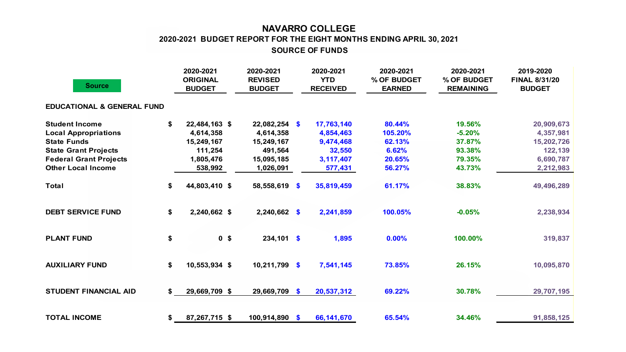## **NAVARRO COLLEGE SOURCE OF FUNDS 2020-2021 BUDGET REPORT FOR THE EIGHT MONTHS ENDING APRIL 30, 2021**

| <b>Source</b>                         |    | 2020-2021<br><b>ORIGINAL</b><br><b>BUDGET</b> | 2020-2021<br><b>REVISED</b><br><b>BUDGET</b> | 2020-2021<br><b>YTD</b><br><b>RECEIVED</b> | 2020-2021<br>% OF BUDGET<br><b>EARNED</b> | 2020-2021<br>% OF BUDGET<br><b>REMAINING</b> | 2019-2020<br><b>FINAL 8/31/20</b><br><b>BUDGET</b> |
|---------------------------------------|----|-----------------------------------------------|----------------------------------------------|--------------------------------------------|-------------------------------------------|----------------------------------------------|----------------------------------------------------|
| <b>EDUCATIONAL &amp; GENERAL FUND</b> |    |                                               |                                              |                                            |                                           |                                              |                                                    |
| <b>Student Income</b>                 |    | 22,484,163 \$                                 | $22,082,254$ \$                              | 17,763,140                                 | 80.44%                                    | 19.56%                                       | 20,909,673                                         |
| <b>Local Appropriations</b>           |    | 4,614,358                                     | 4,614,358                                    | 4,854,463                                  | 105.20%                                   | $-5.20%$                                     | 4,357,981                                          |
| <b>State Funds</b>                    |    | 15,249,167                                    | 15,249,167                                   | 9,474,468                                  | 62.13%                                    | 37.87%                                       | 15,202,726                                         |
| <b>State Grant Projects</b>           |    | 111,254                                       | 491,564                                      | 32,550                                     | 6.62%                                     | 93.38%                                       | 122,139                                            |
| <b>Federal Grant Projects</b>         |    | 1,805,476                                     | 15,095,185                                   | 3,117,407                                  | 20.65%                                    | 79.35%                                       | 6,690,787                                          |
| <b>Other Local Income</b>             |    | 538,992                                       | 1,026,091                                    | 577,431                                    | 56.27%                                    | 43.73%                                       | 2,212,983                                          |
| <b>Total</b>                          | \$ | 44,803,410 \$                                 | 58,558,619 \$                                | 35,819,459                                 | 61.17%                                    | 38.83%                                       | 49,496,289                                         |
| <b>DEBT SERVICE FUND</b>              | \$ | 2,240,662 \$                                  | 2,240,662 \$                                 | 2,241,859                                  | 100.05%                                   | $-0.05%$                                     | 2,238,934                                          |
| <b>PLANT FUND</b>                     | \$ | 0 <sup>5</sup>                                | $234,101$ \$                                 | 1,895                                      | 0.00%                                     | 100.00%                                      | 319,837                                            |
| <b>AUXILIARY FUND</b>                 | \$ | 10,553,934 \$                                 | $10,211,799$ \$                              | 7,541,145                                  | 73.85%                                    | 26.15%                                       | 10,095,870                                         |
| <b>STUDENT FINANCIAL AID</b>          |    | 29,669,709 \$                                 | 29,669,709 \$                                | 20,537,312                                 | 69.22%                                    | 30.78%                                       | 29,707,195                                         |
| <b>TOTAL INCOME</b>                   | \$ | 87,267,715 \$                                 | 100,914,890 \$                               | 66,141,670                                 | 65.54%                                    | 34.46%                                       | 91,858,125                                         |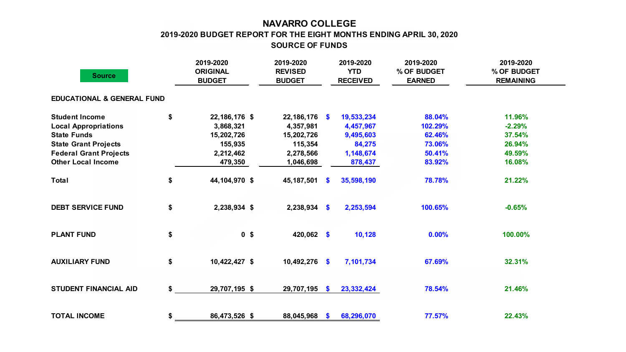## **NAVARRO COLLEGE**

**2019-2020 BUDGET REPORT FOR THE EIGHT MONTHS ENDING APRIL 30, 2020**

**SOURCE OF FUNDS**

| <b>Source</b>                         |    | 2019-2020<br><b>ORIGINAL</b><br><b>BUDGET</b> | 2019-2020<br><b>REVISED</b><br><b>BUDGET</b> |              | 2019-2020<br><b>YTD</b><br><b>RECEIVED</b> | 2019-2020<br>% OF BUDGET<br><b>EARNED</b> | 2019-2020<br>% OF BUDGET<br><b>REMAINING</b> |  |
|---------------------------------------|----|-----------------------------------------------|----------------------------------------------|--------------|--------------------------------------------|-------------------------------------------|----------------------------------------------|--|
| <b>EDUCATIONAL &amp; GENERAL FUND</b> |    |                                               |                                              |              |                                            |                                           |                                              |  |
| <b>Student Income</b>                 | \$ | 22,186,176 \$                                 | $22,186,176$ \$                              |              | 19,533,234                                 | 88.04%                                    | 11.96%                                       |  |
| <b>Local Appropriations</b>           |    | 3,868,321                                     | 4,357,981                                    |              | 4,457,967                                  | 102.29%                                   | $-2.29%$                                     |  |
| <b>State Funds</b>                    |    | 15,202,726                                    | 15,202,726                                   |              | 9,495,603                                  | 62.46%                                    | 37.54%                                       |  |
| <b>State Grant Projects</b>           |    | 155,935                                       | 115,354                                      |              | 84,275                                     | 73.06%                                    | 26.94%                                       |  |
| <b>Federal Grant Projects</b>         |    | 2,212,462                                     | 2,278,566                                    |              | 1,148,674                                  | 50.41%                                    | 49.59%                                       |  |
| <b>Other Local Income</b>             |    | 479,350                                       | 1,046,698                                    |              | 878,437                                    | 83.92%                                    | 16.08%                                       |  |
| <b>Total</b>                          | \$ | 44,104,970 \$                                 | 45,187,501                                   | - \$         | 35,598,190                                 | 78.78%                                    | 21.22%                                       |  |
| <b>DEBT SERVICE FUND</b>              | \$ | 2,238,934 \$                                  | $2,238,934$ \$                               |              | 2,253,594                                  | 100.65%                                   | $-0.65%$                                     |  |
| <b>PLANT FUND</b>                     | \$ | 0 <sup>5</sup>                                | 420,062 \$                                   |              | 10,128                                     | 0.00%                                     | 100.00%                                      |  |
| <b>AUXILIARY FUND</b>                 | \$ | 10,422,427 \$                                 | 10,492,276 \$                                |              | 7,101,734                                  | 67.69%                                    | 32.31%                                       |  |
| <b>STUDENT FINANCIAL AID</b>          | \$ | 29,707,195 \$                                 | 29,707,195                                   | $\mathbf{s}$ | 23, 332, 424                               | 78.54%                                    | 21.46%                                       |  |
| <b>TOTAL INCOME</b>                   | \$ | 86,473,526 \$                                 | 88,045,968                                   | <b>S</b>     | 68,296,070                                 | 77.57%                                    | 22.43%                                       |  |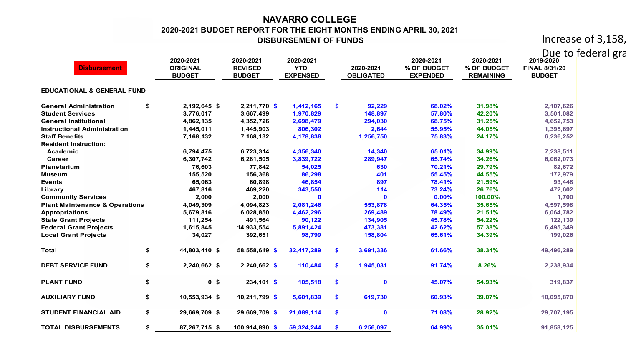## **NAVARRO COLLEGE 2020-2021 BUDGET REPORT FOR THE EIGHT MONTHS ENDING APRIL 30, 2021 DISBURSEMENT OF FUNDS**

Increase of 3,158,

**2020-2021 2020-2021 2020-2021 2020-2021 2020-2021 2019-2020 ORIGINAL REVISED YTD 2020-2021 % OF BUDGET % OF BUDGET FINAL 8/31/20 BUDGET BUDGET EXPENSED OBLIGATED EXPENDED REMAINING BUDGET EDUCATIONAL & GENERAL FUND General Administration \$ 2,192,645 \$ 2,211,770 \$ 1,412,165 \$ 92,229 68.02% 31.98% 2,107,626 Student Services 3,776,017 3,667,499 1,970,829 148,897 57.80% 42.20% 3,501,082 General Institutional 4,862,135 4,352,726 2,698,479 294,030 68.75% 31.25% 4,652,753 Instructional Administration 1,445,011 1,445,903 806,302 2,644 55.95% 44.05% 1,395,697 Staff Benefits 7,168,132 7,168,132 4,178,838 1,256,750 75.83% 24.17% 6,236,252 Resident Instruction: Academic 6,794,475 6,723,314 4,356,340 14,340 65.01% 34.99% 7,238,511 Career 6,307,742 6,281,505 3,839,722 289,947 65.74% 34.26% 6,062,073 Planetarium 76,603 77,842 54,025 630 70.21% 29.79% 82,672 Museum 155,520 156,368 86,298 401 55.45% 44.55% 172,979 Events 65,063 60,898 46,854 897 78.41% 21.59% 93,448 Library 467,816 469,220 343,550 114 73.24% 26.76% 472,602 Community Services 2,000 2,000 0 0 0.00% 100.00% 1,700 Plant Maintenance & Operations 4,049,309 4,094,823 2,081,246 553,878 64.35% 35.65% 4,597,598 Appropriations 5,679,816 6,028,850 4,462,296 269,489 78.49% 21.51% 6,064,782 State Grant Projects 111,254 491,564 90,122 134,905 45.78% 54.22% 122,139 Federal Grant Projects 1,615,845 14,933,554 5,891,424 473,381 42.62% 57.38% 6,495,349 Local Grant Projects 34,027 392,651 98,799 158,804 65.61% 34.39% 199,026 Total \$ 44,803,410 \$ 58,558,619 \$ 32,417,289 \$ 3,691,336 61.66% 38.34% 49,496,289 DEBT SERVICE FUND \$ 2,240,662 \$ 2,240,662 \$ 110,484 \$ 1,945,031 91.74% 8.26% 2,238,934 PLANT FUND \$ 0 \$ 234,101 \$ 105,518 \$ 0 45.07% 54.93% 319,837 AUXILIARY FUND \$ 10,553,934 \$ 10,211,799 \$ 5,601,839 \$ 619,730 60.93% 39.07% 10,095,870 STUDENT FINANCIAL AID \$ 29,669,709 \$ 29,669,709 \$ 21,089,114 \$ 0 71.08% 28.92% 29,707,195 TOTAL DISBURSEMENTS \$ 87,267,715 \$ 100,914,890 \$ 59,324,244 \$ 6,256,097 64.99% 35.01% 91,858,125 Disbursement** Due to federal gra